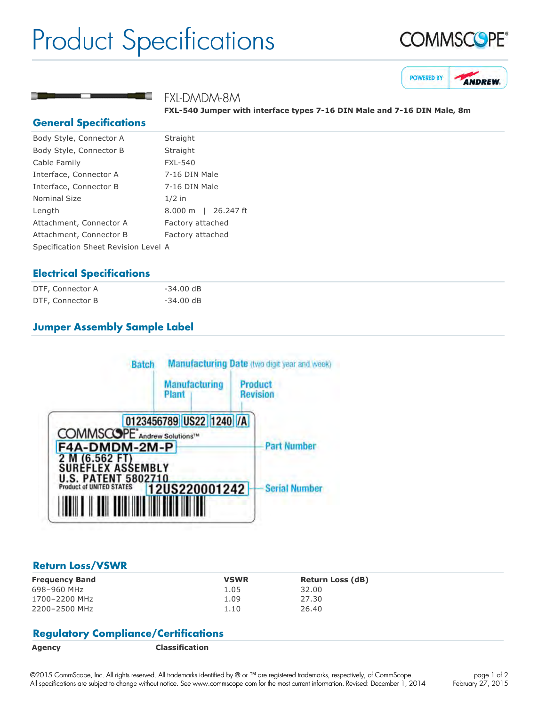# Product Specifications





# FXL-DMDM-8M

**FXL540 Jumper with interface types 716 DIN Male and 716 DIN Male, 8m**

## **General Specifications**

| Body Style, Connector A              | Straight            |  |
|--------------------------------------|---------------------|--|
| Body Style, Connector B              | Straight            |  |
| Cable Family                         | <b>FXL-540</b>      |  |
| Interface, Connector A               | 7-16 DIN Male       |  |
| Interface, Connector B               | 7-16 DIN Male       |  |
| Nominal Size                         | $1/2$ in            |  |
| Length                               | 8.000 m   26.247 ft |  |
| Attachment, Connector A              | Factory attached    |  |
| Attachment, Connector B              | Factory attached    |  |
| Specification Sheet Revision Level A |                     |  |
|                                      |                     |  |

# **Electrical Specifications**

| DTF, Connector A | $-34.00$ dB |
|------------------|-------------|
| DTF, Connector B | $-34.00$ dB |

# **Jumper Assembly Sample Label**



### **Return Loss/VSWR**

| <b>Frequency Band</b> | <b>VSWR</b> | Return Loss (dB) |
|-----------------------|-------------|------------------|
| 698-960 MHz           | 1.05        | 32.00            |
| 1700-2200 MHz         | 1.09        | 27.30            |
| 2200-2500 MHz         | 1.10        | 26.40            |

# **Regulatory Compliance/Certifications**

**Agency Classification**